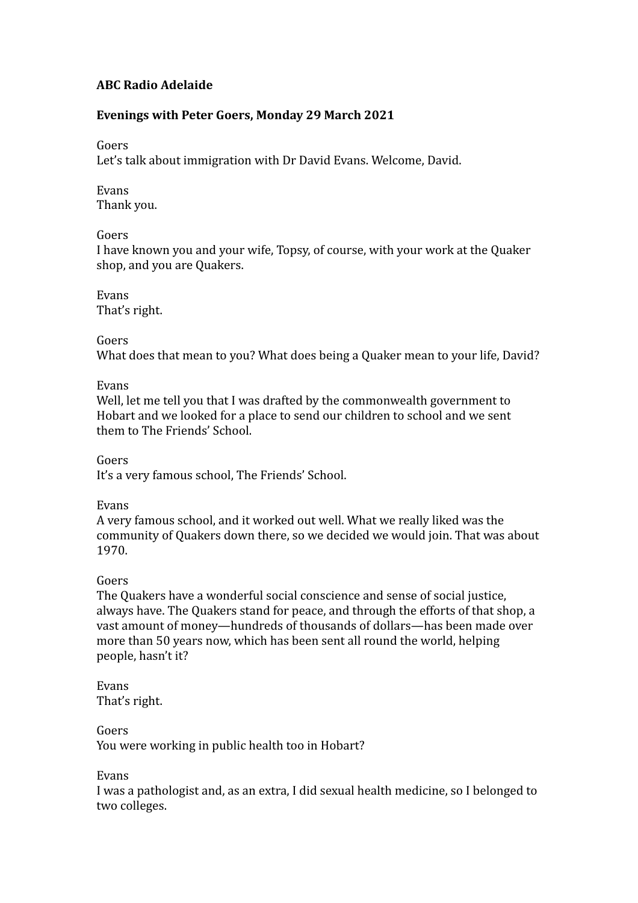# **ABC Radio Adelaide**

## Evenings with Peter Goers, Monday 29 March 2021

#### Goers

Let's talk about immigration with Dr David Evans. Welcome, David.

Evans Thank you.

#### Goers

I have known you and your wife, Topsy, of course, with your work at the Quaker shop, and you are Quakers.

Evans That's right.

Goers

What does that mean to you? What does being a Quaker mean to your life, David?

Evans

Well, let me tell you that I was drafted by the commonwealth government to Hobart and we looked for a place to send our children to school and we sent them to The Friends' School.

Goers It's a very famous school, The Friends' School.

Evans

A very famous school, and it worked out well. What we really liked was the community of Quakers down there, so we decided we would join. That was about 1970.

#### Goers

The Quakers have a wonderful social conscience and sense of social justice, always have. The Quakers stand for peace, and through the efforts of that shop, a vast amount of money—hundreds of thousands of dollars—has been made over more than 50 years now, which has been sent all round the world, helping people, hasn't it?

Evans That's right.

Goers You were working in public health too in Hobart?

Evans

I was a pathologist and, as an extra, I did sexual health medicine, so I belonged to two colleges.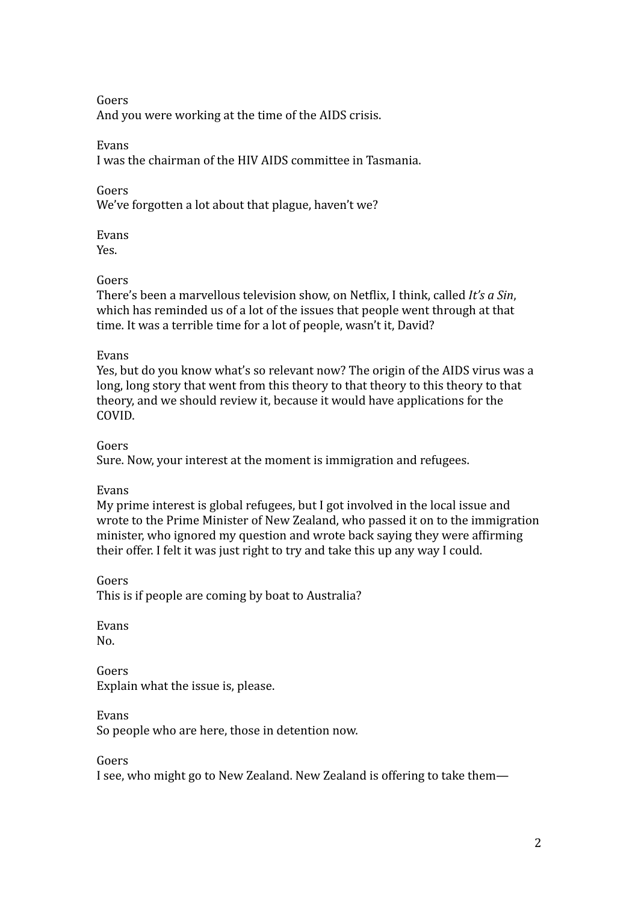Goers And you were working at the time of the AIDS crisis.

Evans

I was the chairman of the HIV AIDS committee in Tasmania.

Goers

We've forgotten a lot about that plague, haven't we?

Evans Yes.

# Goers

There's been a marvellous television show, on Netflix, I think, called *It's a Sin*, which has reminded us of a lot of the issues that people went through at that time. It was a terrible time for a lot of people, wasn't it, David?

# Evans

Yes, but do you know what's so relevant now? The origin of the AIDS virus was a long, long story that went from this theory to that theory to this theory to that theory, and we should review it, because it would have applications for the COVID.

Goers

Sure. Now, your interest at the moment is immigration and refugees.

# Evans

My prime interest is global refugees, but I got involved in the local issue and wrote to the Prime Minister of New Zealand, who passed it on to the immigration minister, who ignored my question and wrote back saying they were affirming their offer. I felt it was just right to try and take this up any way I could.

Goers

This is if people are coming by boat to Australia?

Evans No.

Goers Explain what the issue is, please.

Evans

So people who are here, those in detention now.

Goers

I see, who might go to New Zealand. New Zealand is offering to take them—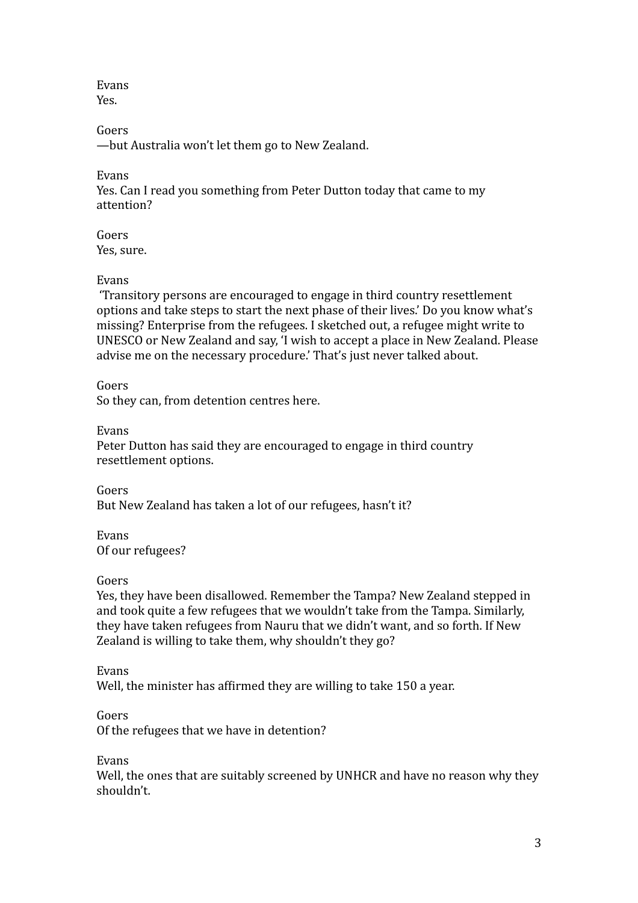Evans Yes.

Goers

—but Australia won't let them go to New Zealand.

Evans

Yes. Can I read you something from Peter Dutton today that came to my attention?

Goers Yes, sure.

## Evans

'Transitory persons are encouraged to engage in third country resettlement options and take steps to start the next phase of their lives.' Do you know what's missing? Enterprise from the refugees. I sketched out, a refugee might write to UNESCO or New Zealand and say, 'I wish to accept a place in New Zealand. Please advise me on the necessary procedure.' That's just never talked about.

Goers

So they can, from detention centres here.

Evans

Peter Dutton has said they are encouraged to engage in third country resettlement options.

Goers But New Zealand has taken a lot of our refugees, hasn't it?

Evans Of our refugees?

Goers

Yes, they have been disallowed. Remember the Tampa? New Zealand stepped in and took quite a few refugees that we wouldn't take from the Tampa. Similarly, they have taken refugees from Nauru that we didn't want, and so forth. If New Zealand is willing to take them, why shouldn't they go?

Evans

Well, the minister has affirmed they are willing to take 150 a year.

Goers

Of the refugees that we have in detention?

Evans

Well, the ones that are suitably screened by UNHCR and have no reason why they shouldn't.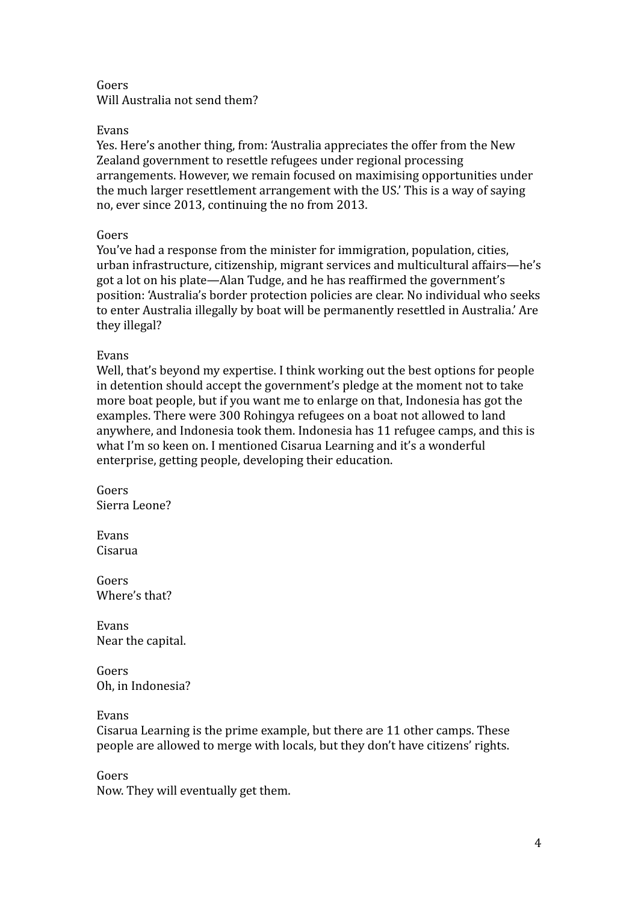## Goers Will Australia not send them?

## Evans

Yes. Here's another thing, from: 'Australia appreciates the offer from the New Zealand government to resettle refugees under regional processing arrangements. However, we remain focused on maximising opportunities under the much larger resettlement arrangement with the US.' This is a way of saying no, ever since 2013, continuing the no from 2013.

## Goers

You've had a response from the minister for immigration, population, cities, urban infrastructure, citizenship, migrant services and multicultural affairs—he's got a lot on his plate—Alan Tudge, and he has reaffirmed the government's position: 'Australia's border protection policies are clear. No individual who seeks to enter Australia illegally by boat will be permanently resettled in Australia.' Are they illegal?

#### Evans

Well, that's beyond my expertise. I think working out the best options for people in detention should accept the government's pledge at the moment not to take more boat people, but if you want me to enlarge on that, Indonesia has got the examples. There were 300 Rohingya refugees on a boat not allowed to land anywhere, and Indonesia took them. Indonesia has 11 refugee camps, and this is what I'm so keen on. I mentioned Cisarua Learning and it's a wonderful enterprise, getting people, developing their education.

Goers Sierra Leone?

Evans Cisarua

Goers Where's that?

Evans Near the capital.

Goers Oh, in Indonesia?

Evans

Cisarua Learning is the prime example, but there are 11 other camps. These people are allowed to merge with locals, but they don't have citizens' rights.

Goers Now. They will eventually get them.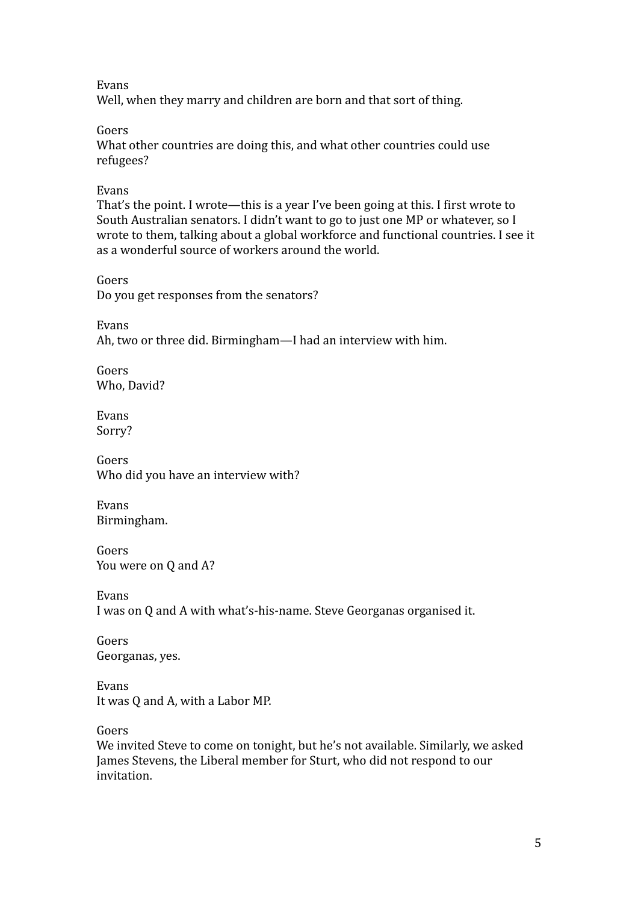Evans

Well, when they marry and children are born and that sort of thing.

Goers

What other countries are doing this, and what other countries could use refugees?

Evans

That's the point. I wrote—this is a year I've been going at this. I first wrote to South Australian senators. I didn't want to go to just one MP or whatever, so I wrote to them, talking about a global workforce and functional countries. I see it as a wonderful source of workers around the world.

Goers Do you get responses from the senators?

Evans

Ah, two or three did. Birmingham—I had an interview with him.

Goers Who, David?

Evans Sorry?

Goers Who did you have an interview with?

Evans Birmingham.

Goers You were on Q and A?

Evans I was on Q and A with what's-his-name. Steve Georganas organised it.

Goers Georganas, yes.

Evans It was Q and A, with a Labor MP.

Goers

We invited Steve to come on tonight, but he's not available. Similarly, we asked James Stevens, the Liberal member for Sturt, who did not respond to our invitation.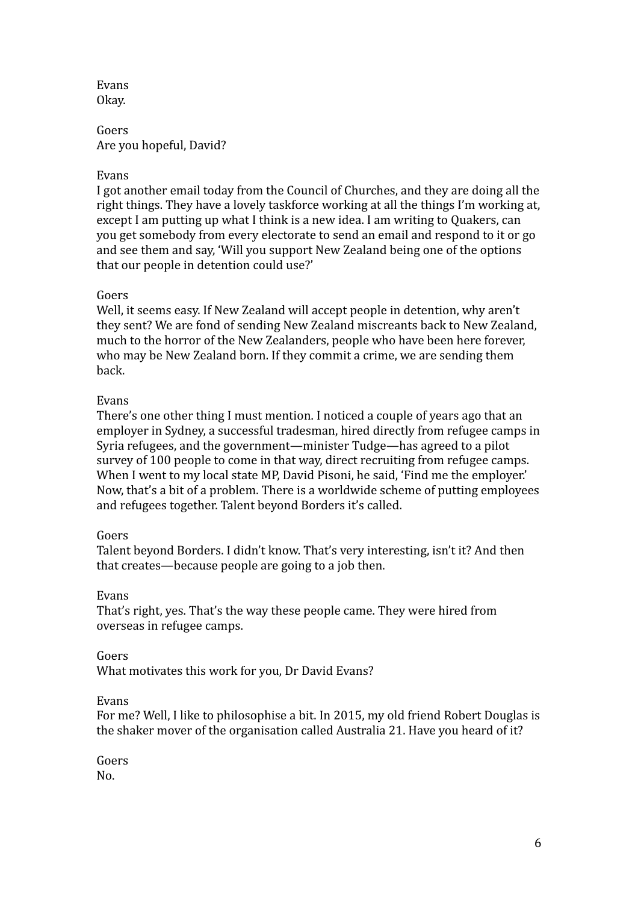Evans Okay.

Goers Are you hopeful, David?

#### Evans

I got another email today from the Council of Churches, and they are doing all the right things. They have a lovely taskforce working at all the things I'm working at, except I am putting up what I think is a new idea. I am writing to Quakers, can you get somebody from every electorate to send an email and respond to it or go and see them and say, 'Will you support New Zealand being one of the options that our people in detention could use?'

## Goers

Well, it seems easy. If New Zealand will accept people in detention, why aren't they sent? We are fond of sending New Zealand miscreants back to New Zealand, much to the horror of the New Zealanders, people who have been here forever, who may be New Zealand born. If they commit a crime, we are sending them back.

## Evans

There's one other thing I must mention. I noticed a couple of years ago that an employer in Sydney, a successful tradesman, hired directly from refugee camps in Syria refugees, and the government—minister Tudge—has agreed to a pilot survey of 100 people to come in that way, direct recruiting from refugee camps. When I went to my local state MP, David Pisoni, he said, 'Find me the employer.' Now, that's a bit of a problem. There is a worldwide scheme of putting employees and refugees together. Talent beyond Borders it's called.

#### Goers

Talent beyond Borders. I didn't know. That's very interesting, isn't it? And then that creates—because people are going to a job then.

#### Evans

That's right, yes. That's the way these people came. They were hired from overseas in refugee camps.

#### Goers

What motivates this work for you, Dr David Evans?

#### Evans

For me? Well, I like to philosophise a bit. In 2015, my old friend Robert Douglas is the shaker mover of the organisation called Australia 21. Have you heard of it?

Goers No.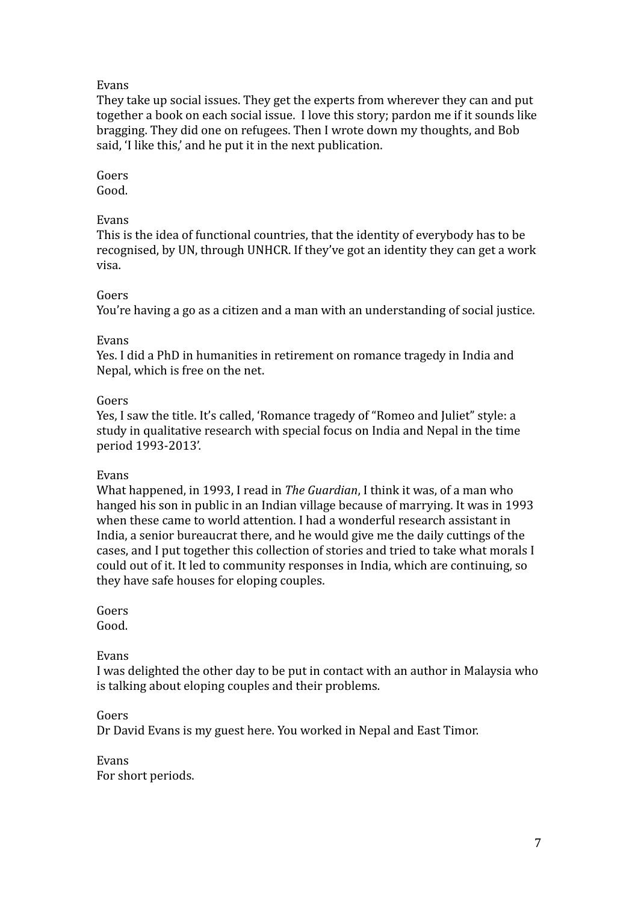## Evans

They take up social issues. They get the experts from wherever they can and put together a book on each social issue. I love this story; pardon me if it sounds like bragging. They did one on refugees. Then I wrote down my thoughts, and Bob said, 'I like this,' and he put it in the next publication.

# Goers

Good.

# Evans

This is the idea of functional countries, that the identity of everybody has to be recognised, by UN, through UNHCR. If they've got an identity they can get a work visa.

# Goers

You're having a go as a citizen and a man with an understanding of social justice.

## Evans

Yes. I did a PhD in humanities in retirement on romance tragedy in India and Nepal, which is free on the net.

## Goers

Yes, I saw the title. It's called, 'Romance tragedy of "Romeo and Juliet" style: a study in qualitative research with special focus on India and Nepal in the time period 1993-2013'.

#### Evans

What happened, in 1993, I read in *The Guardian*, I think it was, of a man who hanged his son in public in an Indian village because of marrying. It was in 1993 when these came to world attention. I had a wonderful research assistant in India, a senior bureaucrat there, and he would give me the daily cuttings of the cases, and I put together this collection of stories and tried to take what morals I could out of it. It led to community responses in India, which are continuing, so they have safe houses for eloping couples.

# Goers

Good.

# Evans

I was delighted the other day to be put in contact with an author in Malaysia who is talking about eloping couples and their problems.

# Goers

Dr David Evans is my guest here. You worked in Nepal and East Timor.

Evans For short periods.